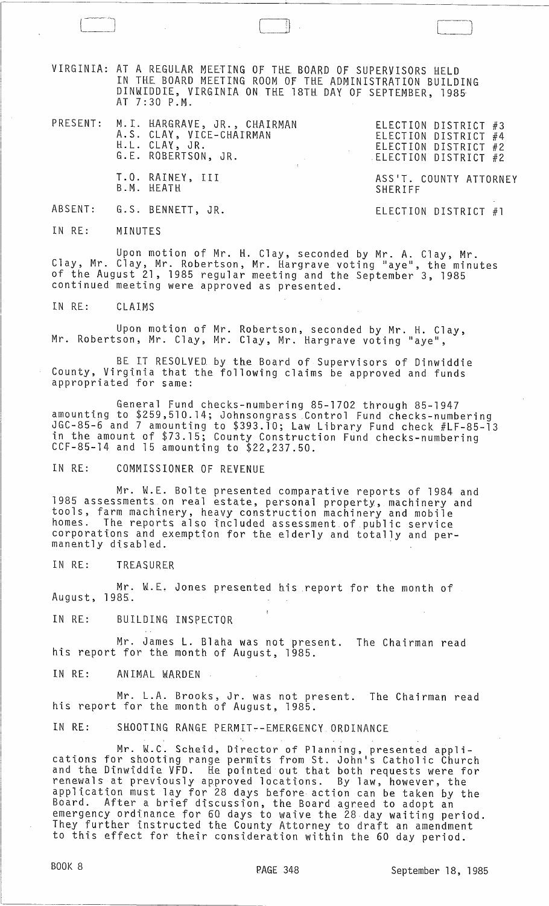VIRGINIA: AT A REGULAR MEETING OF THE BOARD OF SUPERVISORS HELD IN THE BOARD MEETING ROOM OF THE ADMINISTRATION BUILDING DINWIDDIE, VIRGINIA ON THE 18TH DAY OF SEPTEMBER, 1985, AT 7:30 P.M.

|  | PRESENT: M.I. HARGRAVE, JR., CHAIRMAN<br>A.S. CLAY, VICE-CHAIRMAN<br>H.L. CLAY, JR.<br>G.E. ROBERTSON, JR. | ELECTION DISTRICT #3<br>ELECTION DISTRICT #4<br>ELECTION DISTRICT #2<br>ELECTION DISTRICT #2 |
|--|------------------------------------------------------------------------------------------------------------|----------------------------------------------------------------------------------------------|
|  | T.O. RAINEY, III<br>B.M. HEATH                                                                             | ASS'T. COUNTY ATTORNEY<br>SHERIFF                                                            |

 $\begin{pmatrix} 1 & 1 & 1 \\ 1 & 1 & 1 \\ 1 & 1 & 1 \end{pmatrix}$ 

)

ELECTION DISTRICT #1

ABSENT: G.S. BENNETT, JR.

IN RE: MINUTES

Upon motion of Mr. H. Clay, seconded by Mr. A. Clay, Mr. Clay, Mr. Clay, Mr. Robertson, Mr. Hargrave voting "aye", the minutes of the August 21, 1985 regular meeting and the September 3, 1985 continued meeting were approved as presented.

IN RE: CLAIMS

Upon motion of Mr. Robertson, seconded by Mr. H. Clay, Mr. Robertson, Mr. Clay, Mr. Clay, Mr. Hargrave voting "aye",

BE IT RESOLVED by the Board of Supervisors of Dinwiddie County, Virginia that the following claims be approved and funds appropriated for same:

General Fund checks-numbering 85-1702 through 85-1947 amounting to \$259,510.14; Johnsongrass Control Fund checks-numbering JGC-85-6 and 7 amounting to \$393.10; Law Library Fund check #LF-85-13 in the amount of \$73.15; County Construction Fund checks-numbering<br>CCF-85-14 and 15 amounting to \$22,237.50.

IN RE: COMMISSIONER OF REVENUE

Mr. W.E. Bolte presented comparative reports of 1984 and 1985 assessments on real estate, personal property, machinery and tools, farm machinery, heavy construction machinery and mobile homes. The reports also included assessment of public service corporations and exemption for the elderly and totally and per man~ntly disabled. .

IN RE: TREASURER

Mr. W.E. Jones presented his report for the month of August, 1985.

IN RE: BUILDING INSPECTOR

Mr. James L. Blaha was not present. The Chairman read his report for the month of August, 1985.

IN RE: ANIMAL WARDEN

Mr. L.A. Brooks, Jr. was not present. The Chairman read his report for the month of August, 1985.

IN RE: SHOOTING RANGE PERMIT--EMERGENCY ORDINANCE

Mr. W.C. Scheid, Director of Planning, presented applications for shooting range permits from St. John's Catholic Church and the Dinwiddie VFD. He pointed out that both requests were for renewals at previously approved locations. By law, however, the application must lay for 28 days before action can be taken by the Board. After a brief discussion, the Board agreed to adopt an emergency ordinance for 60 days to waive the 28 day waiting period. They further instructed the County Attorney to draft an amendment to this effect for their consideration within the 60 day period.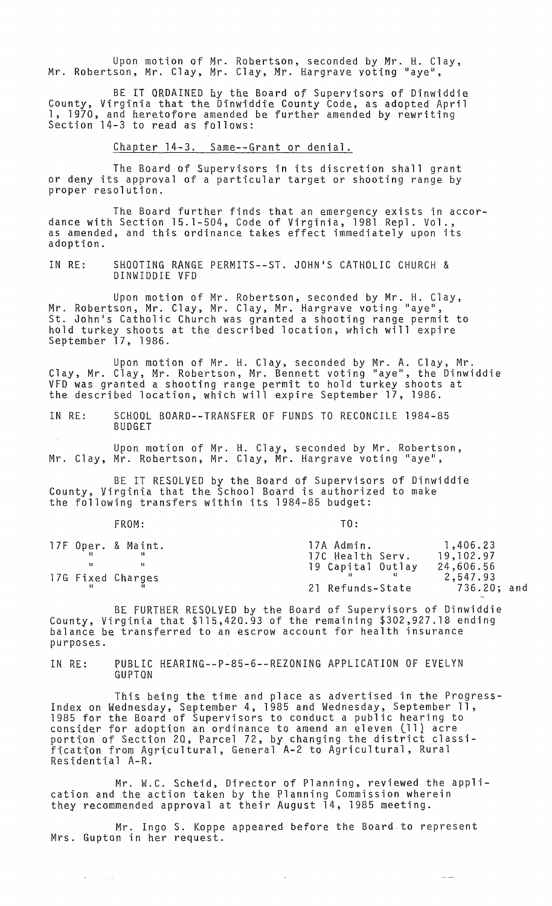Upon motion of Mr. Robertson, seconded by Mr. H. Clay, Mr. Robertson, Mr. Clay, Mr. Clay, Mr. Hargrave voting "aye",

BE IT ORDAINED by the Board of Supervisors of Dinwiddie County, Virginia that the Dinwiddie County Code, as adopted April 1, 1970, and heretofore amended be further amended by rewriting<br>Section 14-3 to read as follows:

Chapter 14-3. Same--Grant or denial.

The Board of Supervisors in its discretion shall grant or deny its approval of a particular target or shooting range by proper resolution.

The Board further finds that an emergency exists in accordance with Section 15.1-504, Code of Virginia, 1981 Repl. Vol., as amended, and this ordinance takes effect immediately upon its adoption.

IN RE: SHOOTING RANGE PERMITS--ST. JOHN'S CATHOLIC CHURCH & DINWIDDIE VFD

Upon motion of Mr. Robertson, seconded by Mr. H. Clay, Mr. Robertson, Mr. Clay, Mr. Clay, Mr. Hargrave voting "aye", St. John's Catholic Church was granted a shooting range permit to hold turkey shoots at the described location, which will expire September 17, 1986.

Upon motion of Mr. H. Clay, seconded by Mr. A. Clay, Mr. Clay, Mr. Clay, Mr. Robertson, Mr. Bennett voting "aye", the Dinwiddie VFD was granted a shooting range permit to hold turkey shoots at the described location, which will expire September 17, 1986.

IN RE: SCHOOL BOARD--TRANSFER OF FUNDS TO RECONCILE 1984-85 BUDGET

Upon motion of Mr. H. Clay, seconded by Mr. Robertson, Mr. Clay, Mr. Robertson, Mr. Clay, Mr. Hargrave voting "aye",

BE IT RESOLVED by the Board of Supervisors of Dinwiddie County, Virginia that the School Board is authorized to make the following transfers within its 1984-85 budget:

FROM: TO:

 $\sigma_{\rm c}$  ,  $\sigma_{\rm c}$  ,  $\sigma_{\rm c}$ 

الرابط عل

|  | 17F Oper. & Maint. | 17A Admin.        | 1,406.23    |
|--|--------------------|-------------------|-------------|
|  |                    | 17C Health Serv.  | 19,102.97   |
|  |                    | 19 Capital Outlay | 24,606.56   |
|  | 17G Fixed Charges  |                   | 2,547.93    |
|  |                    | 21 Refunds-State  | 736.20; and |

BE FURTHER RESOLVED by the Board of Supervisors of Dinwiddie County, Virginia that \$115,420.93 of the remaining \$302,927.18 ending balance be transferred to an escrow account for health insurance purposes.

IN RE: PUBLIC KEARING--P-85-6--REZONING APPLICATION OF EVELYN GUPTON

This being the time and place as advertised in the Progress-Index on Wednesday, September 4, 1985 and Wednesday, September 11, 1985 for the Board of Supervisors to conduct a public hearing to consider for adoption an ordinance to amend an eleven lll} acre consider for adoption an ofernance to amend an eleven (ii) acre fication from Agricultural, General A-2 to Agricultural, Rural Residential A-R.

Mr. W.C. Scheid, Director of Planning, reviewed the application and the action taken by the Planning Commission wherein they recommended approval at their August 14, 1985 meeting.

Mr. Ingo S. Koppe appeared before the Board,to represent Mrs. Gupton in her request.

 $\bar{a}$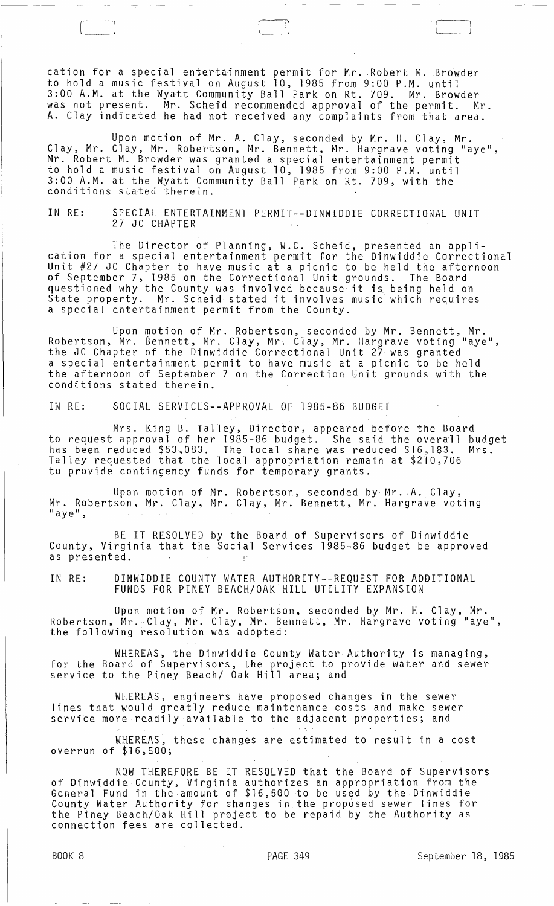cation for a special entertainment permit for Mr. Robert M. Browder to hold a music festival on August 10, 1985 from 9:00 P.M. until 3:00 A.M. at the Wyatt Community Ball Park on Rt. 709. Mr. Browder was not present. Mr. Scheid recommended approval of the permit. Mr. A. Clay indicated he had not received any complaints from that area.

Upon motion of Mr. A. Clay, seconded by Mr. H. Clay, Mr. Clay, Mr. Clay, Mr. Robertson, Mr. Bennett, Mr. Hargrave voting "aye", Mr. Robert M. Browder was granted a special entertainment permit to hold a music festival on August 10, 1985 from 9:00 P.M. until 3:00 A.M. at the Wyatt Community Ball Park on Rt. 709, with the conditions stated therein.

IN RE: SPECIAL ENTERTAINMENT PERMIT--DINWIDDIE CORRECTIONAL UNIT 27 JC CHAPTER

The Director of Planning, W.C. Scheid, presented an application for a special entertainment permit for the Dinwiddie Correctional Unit #27 JC Chapter to have music at a picnic to be held the afternoon of September 7, 1985 on the Correctional Unit grounds. The Board questioned why the County was involved because it is being held on State property. Mr. Scheid stated it involves music' which requires a special entertainment permit from the County.

Upon motion of Mr. Robertson, seconded by Mr. Bennett, Mr. Robertson, Mr. Bennett, Mr. Clay, Mr. Clay, Mr. Hargrave voting "aye", the JC Chapter of· the Dinwiddie Correctional Unit 27 was granted a special entertainment permit to have music at a picnic to be held the afternoon of September 7 on the Correction Unit grounds with the conditions stated therein.

IN RE: SOCIAL SERVICES--APPROVAL OF 1985-86 BUDGET

Mrs. King B. Talley, Director, appeared before the Board to request approval of her 1985-86 budget. She said the overall budget has been reduced \$53,083. The local share was reduced \$16,183. Mrs. Talley requested that the local appropriation remain at \$210,706 to provide contingency funds for temporary grants.

Upon motion of Mr. Robertson, seconded by Mr. A. Clay, Mr. Robertson, Mr. Clay, Mr. Clay, Mr. Bennett, Mr. Hargrave voting  $"$ aye",

BE IT RESOLVED by the Board of Supervisors of Dinwiddie County, Virginia that the Social Services 1985-86 budget be approved as presented.

IN RE: DINWIDDIE COUNTY WATER AUTHORITY--REQUEST FOR ADDITIONAL FUNDS FOR PINEY BEACH/OAK. HILL UTILITY EXPANSION

Upon motion of Mr. Robertson, seconded by Mr. H. Clay, Mr. Robertson, Mr.·Clay, Mr. Clay, Mr. Bennett, Mr. Hargrave voting "aye",<br>the following resolution was adopted:

WHEREAS, the Dinwiddie County Water.Authority is managing, for the Board of Supervisors, the project to provide water and sewer service to the Piney Beach/ Oak Hill area; and

WHEREAS, engineers have proposed changes in the sewer lines that would greatly reduce maintenance costs and make sewer service more readily available to the adjacent properties; and

WHEREAS, these changes are estimated to result in a cost overrun of \$16,500;

NOW THEREFORE BE IT RESOLVED that the Board of Supervisors of Dinwiddie County, Virginia authorizes an appropriation from the General Fund in the amount of \$16,500 to be used by the Dinwiddie County Water Authority for changes in. the proposed sewer lines for the Piney Beach/Oak Hill project to be repaid by the Authority as connection fees are collected.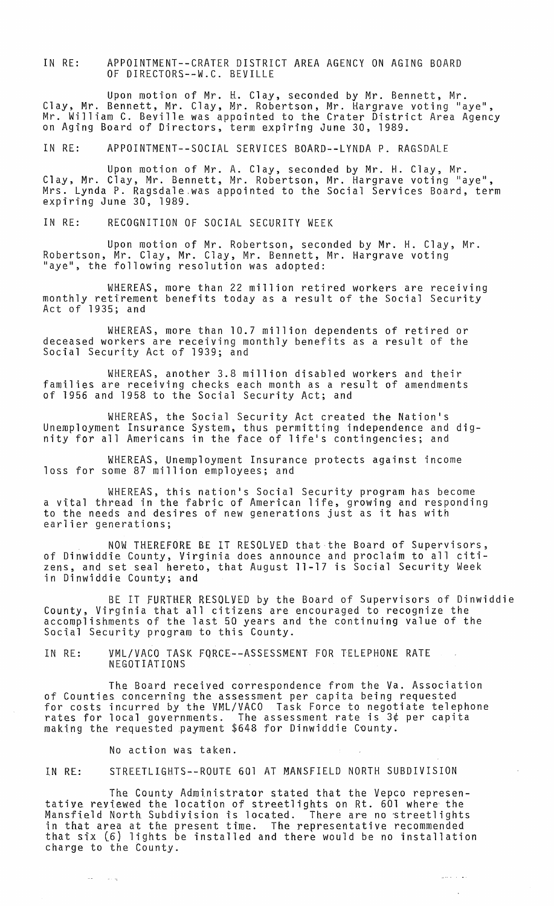IN RE: APPOINTMENT--CRATER DISTRICT AREA AGENCY ON AGING BOARD OF DIRECTORS--W.C. BEVILLE

Upon motion of Mr. H. Clay, seconded by Mr. Bennett, Mr. Clay, Mr. Bennett, Mr. Clay, Mr. Robertson, Mr. Hargrave voting "aye", Mr. William C. Beville was appointed to the Crater District Area Agency on Aging Board of Directors, term expiring June 30, 1989.

IN RE: APPOINTMENT--SOCIAL SERVICES BOARD--LYNDA P. RAGSDALE

Upon motion of Mr. A. Clay, seconded by Mr. H. Clay, Mr. Clay, Mr. Clay, Mr. Bennett, Mr. Robertson, Mr. Hargrave voting "aye", Mrs. Lynda P. Ragsdale,was appointed to the Social Services Board, term expiring June 30, 1989.

IN RE: RECOGNITION OF SOCIAL SECURITY WEEK

Upon motion of Mr. Robertson, seconded by Mr. H. Clay, Mr. Robertson, Mr. Clay, Mr. Clay, Mr. Bennett, Mr. Hargrave voting "aye", the following resolution was adopted:

WHEREAS, more than 22 million retired workers are receiving monthly retirement benefits today as a result of the Social Security<br>Act of 1935; and

WHEREAS, more than 10.7 million dependents of retired or deceased workers are receiving monthly benefits as a result of the Social Security Act of 1939; and

WHEREAS, another 3.8 million disabled workers and their families are receiving checks each month as a result of amendments of 1956 and 1958 to the Social Security Act; and

WHEREAS, the Social Security Act created the Nation's Unemployment Insurance System, thus permitting independence and dignity for all Americans in the face of life's contingencies; and

WHEREAS, Unemployment Insurance protects against income loss for some 87 million employees; and

WHEREAS, this nation's Social Security program has become a vital thread in the fabric of American life, growing and responding to the needs and desires of new generations just as it has with earlier generations;

NOW THEREFORE BE IT RESOLVED that the Board of Supervisors, of Dinwiddie County, Virginia does announce and proclaim to all citizens, and set seal hereto, that August 11-17 is Social Security Week in Dinwiddie County; and

BE IT FURTHER RESOLVED by the Board of Supervisors of Dinwiddie County, Virginia that all citizens are encouraged to recognize the accomplishments of the last 50 years and the continuing value of the Social Security program to this County.

IN RE: VML/VACO TASK FQRCE--ASSESSMENT FOR TELEPHONE RATE NEGOTIATIONS

The Board received correspondence from the Va. Association of Counties concerning the assessment per capita being requested for costs incurred by the VML/VACO Task Force to negotiate telephone rates for local governments. The assessment rate is 3¢ per capita making the requested payment \$648 for Dinwiddie County.

No action was taken.

 $\sim$   $\sim$ 

 $\sim$   $\sim$   $\sim$ 

IN RE: STREETLIGHTS--ROUTE 601 AT MANSFIELD NORTH SUBDIVISION

The County Administrator stated that the Vepco representative reviewed the location of streetlights on Rt. 601 where the which is a significant of the second in the second term in the contract of the second Mansfield North Subdivision is located. There are no streetlights in that area at the present time. The representative recommended that six (6) lights be installed and there would be no installation charge to the County.

الوارد والمو

 $\bar{\nu}$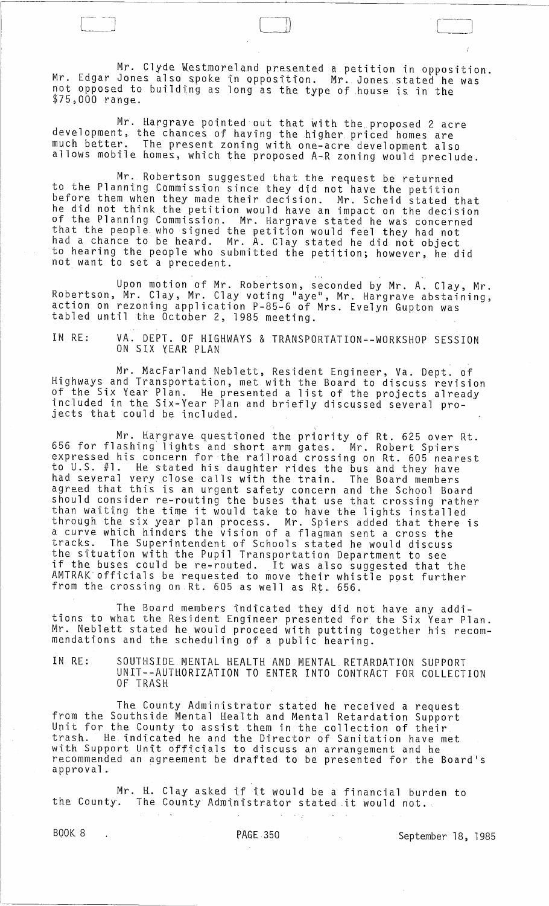Mr. Clyde Westmoreland presented a petition in opposition. Mr. Edgar Jones also spoke in opposition. Mr. Jones stated he was not opposed to building as long as the type of house is in the  $$75,000$  range.

 $\begin{pmatrix} -1 \\ -1 \end{pmatrix}$ 

Mr. Hargrave pointed out that with the proposed 2 acre development, the chances of having the higher priced homes are much better. The present zoning with one-acre development also allows mobile homes, which the proposed A~R zoning would preclude.

Mr. Robertson suggested that. the request be returned to the Planning Commission since they did not have the petition before them when they made their decision. Mr. Scheid stated that he did not think the petition would have an impact on the decision of the Planning Commission. Mr. Hargrave stated he was concerned that the people. who signed the petition would feel they had not had a chance to be heard. Mr. A. Clay stated he did not object to hearing the people who submitted the petition; however, he did not want to set a precedent.

Upon motion of Mr. Robertson, seconded by Mr. A. Clay, Mr. Robertson, Mr. Clay, Mr. Clay voting "aye", Mr. Hargrave abstaining, action on rezoning application P-85-6 of Mrs. Evelyn Gupton was tabled until the October 2, 1985 meeting.

IN RE: VA. DEPT. OF HIGHWAYS & TRANSPORTATION--WORKSHOP SESSION ON SIX YEAR PLAN

Mr. MacFarland Neblett, Resident Engineer, Va. Dept. of Highways and Transportation, met with the Board to discuss revision of the Six Year Plan. He presented a list of the projects already included in the Six-Year Plan and briefly discussed several pro- jects that could be included.

Mr. Hargrave questioned the priority of Rt. 625 over Rt. 656 for flashing lights and short arm gates. Mr. Robert Spiers expressed his concern for the railroad crossing on Rt. 605 nearest to U.S. #1. He stated his daughter rides the bus and they have had several very close calls with the train. The Board members agreed that this is an urgent safety concern and the School Board should consider re-routing the buses that use that crossing rather than waiting the time it would take to have the lights installed through the six year plan process. Mr. Spiers added that there is a curve which hinders the vision of a flagman sent a cross the tracks. The Superintendent of Schools stated he would discuss the situation with the Pupil Transportation Department to see if the buses could be re-routed. It was also suggested that the AMTRAK· officials be requested to move their whistle post further from the crossing on Rt. 605 as well as Rt. 656.

The Board members indicated they did not have any additions to what the Resident Engineer presented for the Six Year Plan. Mr. Neblett stated he would proceed with putting together his recommendations and the scheduling of a public hearing.

IN RE: SOUTHSIDE MENTAL HEALTH AND MENTAL RETARDATION SUPPORT UNIT--AUTHORIZATION TO ENTER INTO CONTRACT FOR COLLECTION OF TRASH

The County Administrator stated he received a request from the Southside Mental Health and Mental Retardation Support Unit for the County to assist them in the collection of their trash. He indicated he and the Director of Sanitation have met with Support Unit officials to discuss an arrangement and he recommended an agreement be drafted to be presented for the Board's .common.com<br>approval.

Mr. H. Clay asked if it would be a financial burden to the County. The County Administrator stated it would not.

BOOK 8 (1985) PAGE 350 September 18, 1985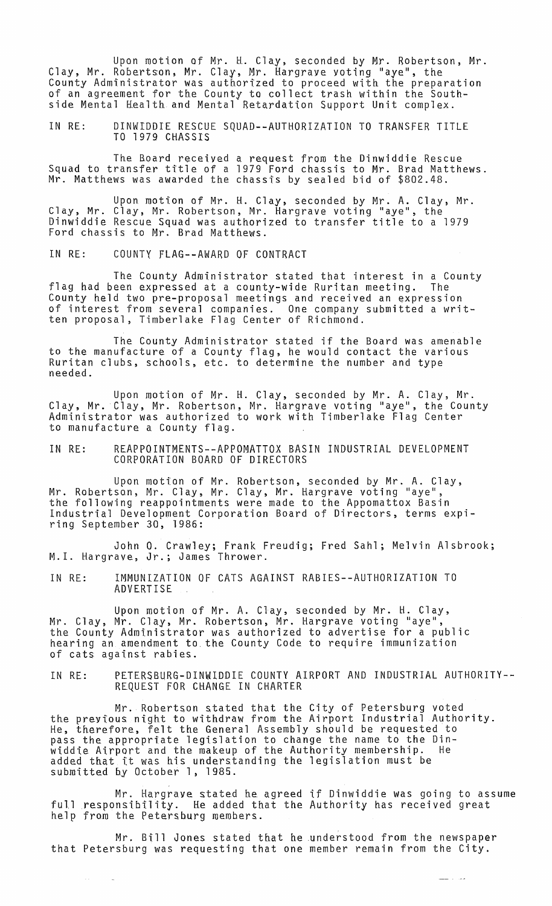Upon motion of Mr. H. Clay, seconded by Mr. Robertson, Mr. Clay, Mr. Robertson, Mr. Clay, Mr. Hargrave voting "aye", the County Administrator was authorized to proceed with the preparation of an agreement for the County to collect trash within the Southside Mental Health and Mental Retardation Support Unit complex.

IN RE: DINWIDDIE RESCUE SQUAD--AUTHORIZATION TO TRANSFER TITLE TO 1979 CHASSIS

The Roard received a request from the Dinwiddie Rescue Squad to transfer title of a 1979 Ford chassis to Mr. Brad Matthews. Mr. Matthews was awarded the chassis by sealed bid of \$802.48.

Upon motion of Mr. H. Clay, seconded by Mr. A. Clay, Mr. Clay, Mr. Clay, Mr. Robertson, Mr. Hargrave voting "aye", the Dinwiddie Rescue Squad was authorized to transfer title to a 1979 Ford chassis to Mr. Brad Matthews.

IN RE: COUNTY FLAG--AWARD Of CONTRACT

The County Administrator stated that interest in a County flag had been expressed at a county-wide Ruritan meeting. The County held two pre-proposal meetings and received an expression of interest from several companies. One company submitted a written proposal, Timberlake Flag Center of Richmond.

The County Administrator stated if the Board was amenable to the manufacture of a County flag, he would contact the various Ruritan clubs, schools, etc. to determine the number and type needed.

Upon motion of Mr. H. Clay, seconded by Mr. A. Clay, Mr. Clay, Mr. Clay, Mr. Robertson, Mr. Hargrave voting "aye", the County Administrator was authorized to work with Timberlake Flag Center to manufacture a County flag.

IN RE: REAPPOINTMENTS--APPOMATTOX BASIN INDUSTRIAL DEVELOPMENT CORPORATION BOARD OF DIRECTORS

Upon motion of Mr. Robertson, seconded by Mr. A. Clay, Mr. Robertson, Mr. Clay, Mr. Clay, Mr. Hargrave voting "aye", the following reappointments were made to the Appomattox Basin Industrial Development Corporation Board of Directors, terms expiring September 30, 1986:

John O. Crawley; Frank Freudig; Fred Sahl; Melvin Alsbrook; M.1. Hargrave, Jr.; James Thrower.

IN RE: IMMUNIZATION OF CATS AGAINST RABIES--AUTHORIZATION TO ADVERTISE

Upon motion of Mr. A. Clay, seconded by Mr. H. Clay, Mr. Clay, Mr. Clay, Mr. Robertson, Mr. Hargrave voting "aye", the County Administrator was authorized to advertise for a public hearing an amendment to. the County Code to require immunization of cats against rabies.

IN RE: PETERSBURG-DINWIDDIE COUNTY AIRPORT AND INDUSTRIAL AUTHORITY-- REQUEST FOR CHANGE IN CHARTER

Mr. Robertson stated that the City of Petersburg voted the previous night to withdraw from the Airport Industrial Authority. He, therefore, felt the General Assembly should be requested to pass the appropriate legislation to change the name to the Dinwiddie Airport and the makeup of the Authority membership. added that it was his understanding the legislation must be submitted by October 1, 1985.

Mr. Hargrave stated he agreed if Dinwiddie was going to assume full responsibility. He added that the Authority has received great help from the Petersburg members.

مداد مصد

Mr. Bill Jones stated that he .understood from the newspaper that Petersburg was requesting that one member remain from the City.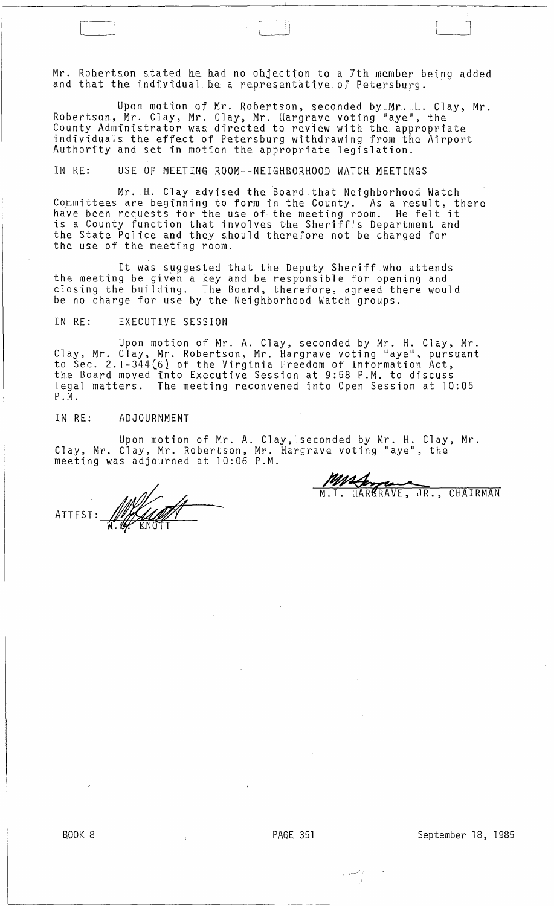Mr. Robertson stated he had no objection to a 7th member being added and that the individual be a representative of Petersburg.

 $\blacksquare$ 

Upon motion of Mr. Robertson, seconded by.M~. H. Clay, Mr. Robertson, Mr. Clay, Mr. Clay, Mr. Hargrave voting "aye", the County Administrator was directed to review with the appropriate individuals the effect of Petersburg withdrawing from the Airport<br>Authority and set in motion the appropriate legislation.

IN RE: USE OF MEETING ROOM--NEIGHBORHOOD WATCH MEETINGS

Mr. H. Clay advised the Board that Neighborhood Watch Committees are beginning to form in the County. As a ~esult, there have been requests for the use of the meeting room. He felt it is a County function that involves the Sheriff's Department and the State Police and they should therefore not be charged for the use of the meeting room.

It was suggested that the Deputy Sheriff.who attends the meeting be given a key and be responsible for opening and closing the building. The Board, therefore, agreed there would be no charge for use by the Neighborhood Watch groups.

## IN RE: EXECUTIVE SESSION

Upon motion of Mr. A. Clay, seconded by Mr. H. Clay, Mr. Clay, Mr. Clay, Mr. Robertson, Mr. Hargrave voting "aye", pursuant to Sec. 2.l-344(6} of the Virginia Freedom of Information Act, the Board moved into Executive Session at 9:58 P.M. to discuss legal matters. The meeting reconvened into Open Session at 10:05 P. M.

## IN RE: ADJOURNMENT

Upon motion of Mr. A. Clay, seconded by Mr. H. Clay, Mr. Clay, Mr. Clay, Mr. Robertson, Mr. Hargrave voting "aye", the meeting was adjourned at 10:06 P.M.

WILLIAM ATTEST:

M.I. HARGRAVE, JR., CHAIRMAN

 $\sim$